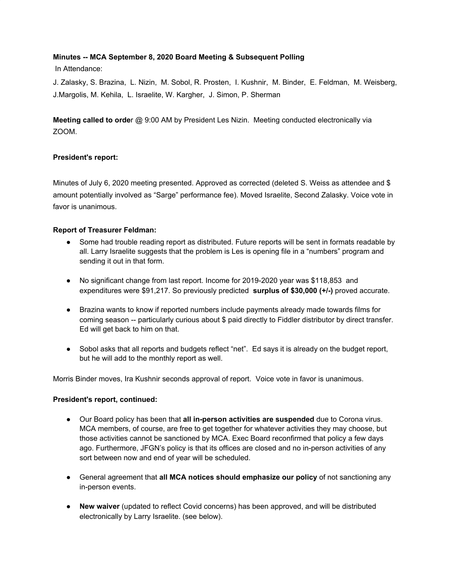# **Minutes -- MCA September 8, 2020 Board Meeting & Subsequent Polling**

In Attendance:

J. Zalasky, S. Brazina, L. Nizin, M. Sobol, R. Prosten, I. Kushnir, M. Binder, E. Feldman, M. Weisberg, J.Margolis, M. Kehila, L. Israelite, W. Kargher, J. Simon, P. Sherman

**Meeting called to orde**r @ 9:00 AM by President Les Nizin. Meeting conducted electronically via ZOOM.

# **President's report:**

Minutes of July 6, 2020 meeting presented. Approved as corrected (deleted S. Weiss as attendee and \$ amount potentially involved as "Sarge" performance fee). Moved Israelite, Second Zalasky. Voice vote in favor is unanimous.

# **Report of Treasurer Feldman:**

- Some had trouble reading report as distributed. Future reports will be sent in formats readable by all. Larry Israelite suggests that the problem is Les is opening file in a "numbers" program and sending it out in that form.
- No significant change from last report. Income for 2019-2020 year was \$118,853 and expenditures were \$91,217. So previously predicted **surplus of \$30,000 (+/-)** proved accurate.
- Brazina wants to know if reported numbers include payments already made towards films for coming season -- particularly curious about \$ paid directly to Fiddler distributor by direct transfer. Ed will get back to him on that.
- Sobol asks that all reports and budgets reflect "net". Ed says it is already on the budget report, but he will add to the monthly report as well.

Morris Binder moves, Ira Kushnir seconds approval of report. Voice vote in favor is unanimous.

#### **President's report, continued:**

- Our Board policy has been that **all in-person activities are suspended** due to Corona virus. MCA members, of course, are free to get together for whatever activities they may choose, but those activities cannot be sanctioned by MCA. Exec Board reconfirmed that policy a few days ago. Furthermore, JFGN's policy is that its offices are closed and no in-person activities of any sort between now and end of year will be scheduled.
- General agreement that **all MCA notices should emphasize our policy** of not sanctioning any in-person events.
- **New waiver** (updated to reflect Covid concerns) has been approved, and will be distributed electronically by Larry Israelite. (see below).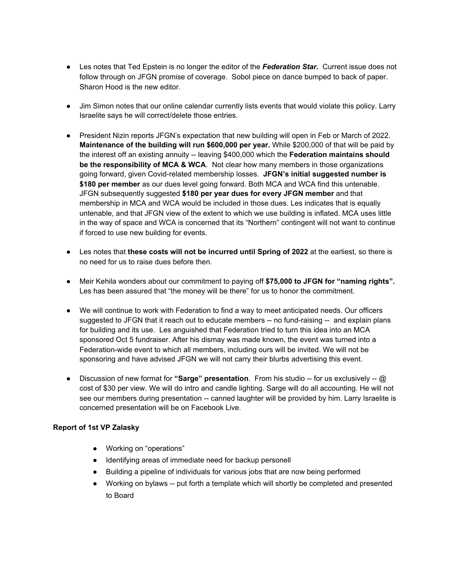- Les notes that Ted Epstein is no longer the editor of the *Federation Star***.** Current issue does not follow through on JFGN promise of coverage. Sobol piece on dance bumped to back of paper. Sharon Hood is the new editor.
- Jim Simon notes that our online calendar currently lists events that would violate this policy. Larry Israelite says he will correct/delete those entries.
- President Nizin reports JFGN's expectation that new building will open in Feb or March of 2022. **Maintenance of the building will run \$600,000 per year.** While \$200,000 of that will be paid by the interest off an existing annuity -- leaving \$400,000 which the **Federation maintains should be the responsibility of MCA & WCA**. Not clear how many members in those organizations going forward, given Covid-related membership losses. **JFGN's initial suggested number is \$180 per member** as our dues level going forward. Both MCA and WCA find this untenable. JFGN subsequently suggested **\$180 per year dues for every JFGN member** and that membership in MCA and WCA would be included in those dues. Les indicates that is equally untenable, and that JFGN view of the extent to which we use building is inflated. MCA uses little in the way of space and WCA is concerned that its "Northern" contingent will not want to continue if forced to use new building for events.
- Les notes that **these costs will not be incurred until Spring of 2022** at the earliest, so there is no need for us to raise dues before then.
- Meir Kehila wonders about our commitment to paying off **\$75,000 to JFGN for "naming rights".** Les has been assured that "the money will be there" for us to honor the commitment.
- We will continue to work with Federation to find a way to meet anticipated needs. Our officers suggested to JFGN that it reach out to educate members -- no fund-raising -- and explain plans for building and its use. Les anguished that Federation tried to turn this idea into an MCA sponsored Oct 5 fundraiser. After his dismay was made known, the event was turned into a Federation-wide event to which all members, including ours will be invited. We will not be sponsoring and have advised JFGN we will not carry their blurbs advertising this event.
- Discussion of new format for **"Sarge" presentation**. From his studio -- for us exclusively -- @ cost of \$30 per view. We will do intro and candle lighting. Sarge will do all accounting. He will not see our members during presentation -- canned laughter will be provided by him. Larry Israelite is concerned presentation will be on Facebook Live.

#### **Report of 1st VP Zalasky**

- Working on "operations"
- Identifying areas of immediate need for backup personell
- Building a pipeline of individuals for various jobs that are now being performed
- Working on bylaws -- put forth a template which will shortly be completed and presented to Board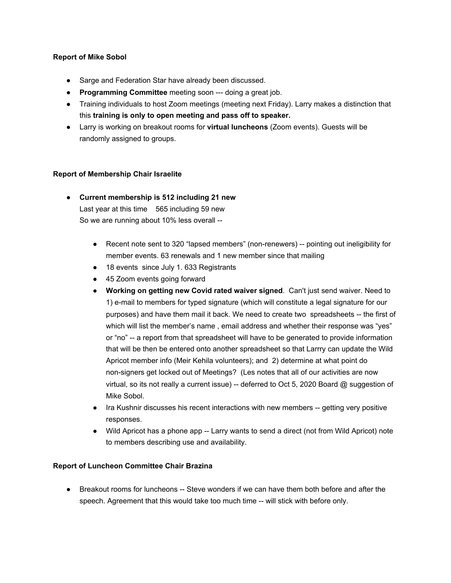# **Report of Mike Sobol**

- Sarge and Federation Star have already been discussed.
- **Programming Committee** meeting soon --- doing a great job.
- Training individuals to host Zoom meetings (meeting next Friday). Larry makes a distinction that this **training is only to open meeting and pass off to speaker.**
- Larry is working on breakout rooms for **virtual luncheons** (Zoom events). Guests will be randomly assigned to groups.

# **Report of Membership Chair Israelite**

- **● Current membership is 512 including 21 new** Last year at this time 565 including 59 new So we are running about 10% less overall --
	- Recent note sent to 320 "lapsed members" (non-renewers) -- pointing out ineligibility for member events. 63 renewals and 1 new member since that mailing
	- 18 events since July 1. 633 Registrants
	- 45 Zoom events going forward
	- **Working on getting new Covid rated waiver signed**. Can't just send waiver. Need to 1) e-mail to members for typed signature (which will constitute a legal signature for our purposes) and have them mail it back. We need to create two spreadsheets -- the first of which will list the member's name, email address and whether their response was "yes" or "no" -- a report from that spreadsheet will have to be generated to provide information that will be then be entered onto another spreadsheet so that Larrry can update the Wild Apricot member info (Meir Kehila volunteers); and 2) determine at what point do non-signers get locked out of Meetings? (Les notes that all of our activities are now virtual, so its not really a current issue) -- deferred to Oct 5, 2020 Board @ suggestion of Mike Sobol.
	- Ira Kushnir discusses his recent interactions with new members -- getting very positive responses.
	- Wild Apricot has a phone app -- Larry wants to send a direct (not from Wild Apricot) note to members describing use and availability.

#### **Report of Luncheon Committee Chair Brazina**

● Breakout rooms for luncheons -- Steve wonders if we can have them both before and after the speech. Agreement that this would take too much time -- will stick with before only.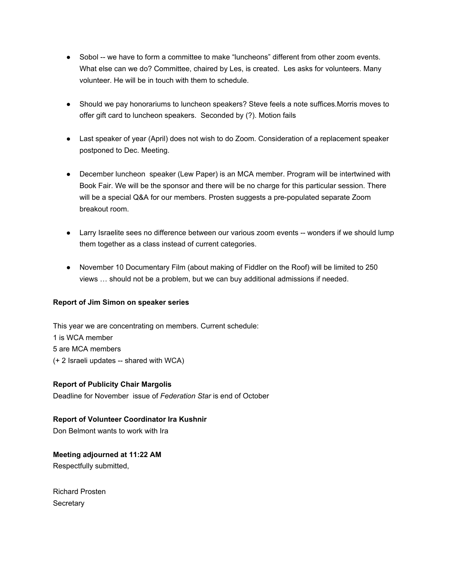- Sobol -- we have to form a committee to make "luncheons" different from other zoom events. What else can we do? Committee, chaired by Les, is created. Les asks for volunteers. Many volunteer. He will be in touch with them to schedule.
- Should we pay honorariums to luncheon speakers? Steve feels a note suffices.Morris moves to offer gift card to luncheon speakers. Seconded by (?). Motion fails
- Last speaker of year (April) does not wish to do Zoom. Consideration of a replacement speaker postponed to Dec. Meeting.
- December luncheon speaker (Lew Paper) is an MCA member. Program will be intertwined with Book Fair. We will be the sponsor and there will be no charge for this particular session. There will be a special Q&A for our members. Prosten suggests a pre-populated separate Zoom breakout room.
- Larry Israelite sees no difference between our various zoom events -- wonders if we should lump them together as a class instead of current categories.
- November 10 Documentary Film (about making of Fiddler on the Roof) will be limited to 250 views … should not be a problem, but we can buy additional admissions if needed.

#### **Report of Jim Simon on speaker series**

This year we are concentrating on members. Current schedule: 1 is WCA member 5 are MCA members (+ 2 Israeli updates -- shared with WCA)

#### **Report of Publicity Chair Margolis**

Deadline for November issue of *Federation Star* is end of October

#### **Report of Volunteer Coordinator Ira Kushnir**

Don Belmont wants to work with Ira

# **Meeting adjourned at 11:22 AM**

Respectfully submitted,

Richard Prosten **Secretary**